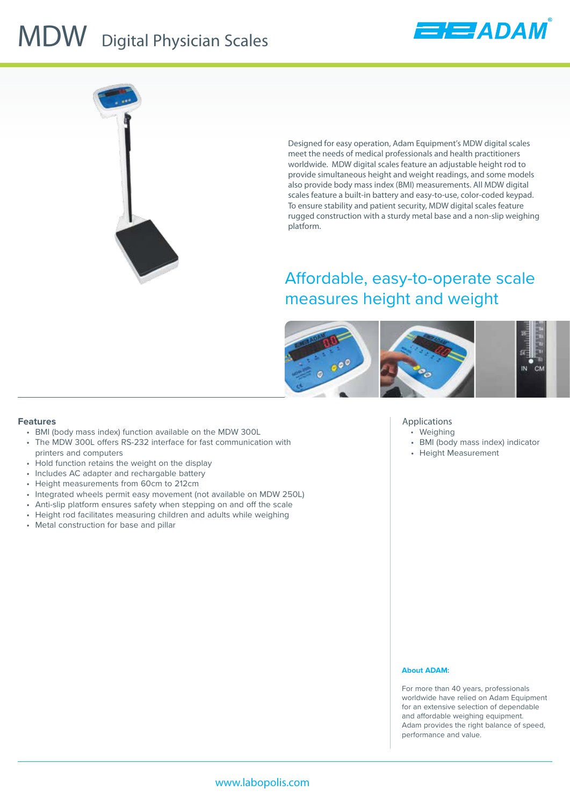## **MDW** Digital Physician Scales





Designed for easy operation, Adam Equipment's MDW digital scales meet the needs of medical professionals and health practitioners worldwide. MDW digital scales feature an adjustable height rod to provide simultaneous height and weight readings, and some models also provide body mass index (BMI) measurements. All MDW digital scales feature a built-in battery and easy-to-use, color-coded keypad. To ensure stability and patient security, MDW digital scales feature rugged construction with a sturdy metal base and a non-slip weighing platform.

### Affordable, easy-to-operate scale measures height and weight



#### **Features**

- BMI (body mass index) function available on the MDW 300L
- The MDW 300L offers RS-232 interface for fast communication with printers and computers
- Hold function retains the weight on the display
- Includes AC adapter and rechargable battery
- Height measurements from 60cm to 212cm
- Integrated wheels permit easy movement (not available on MDW 250L)
- Anti-slip platform ensures safety when stepping on and off the scale
- Height rod facilitates measuring children and adults while weighing
- Metal construction for base and pillar

#### **Applications**

- Weighing
- BMI (body mass index) indicator
- Height Measurement

#### **About ADAM:**

For more than 40 years, professionals worldwide have relied on Adam Equipment for an extensive selection of dependable and affordable weighing equipment. Adam provides the right balance of speed, performance and value.